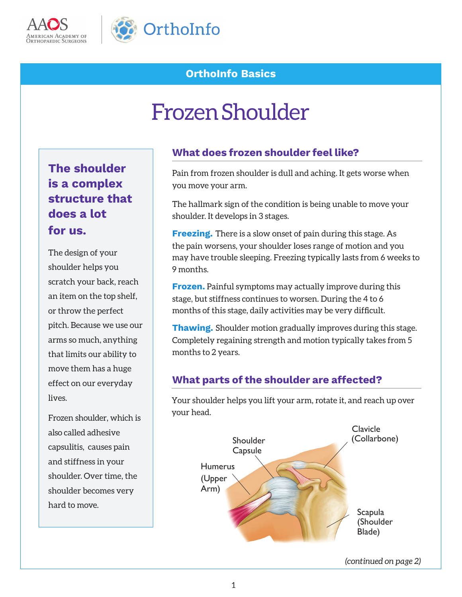



### **OrthoInfo Basics**

# Frozen Shoulder

## **The shoulder is a complex structure that does a lot for us.**

The design of your shoulder helps you scratch your back, reach an item on the top shelf, or throw the perfect pitch. Because we use our arms so much, anything that limits our ability to move them has a huge effect on our everyday lives.

Frozen shoulder, which is also called adhesive capsulitis, causes pain and stiffness in your shoulder. Over time, the shoulder becomes very hard to move.

#### **What does frozen shoulder feel like?**

Pain from frozen shoulder is dull and aching. It gets worse when you move your arm.

The hallmark sign of the condition is being unable to move your shoulder. It develops in 3 stages.

**Freezing.** There is a slow onset of pain during this stage. As the pain worsens, your shoulder loses range of motion and you may have trouble sleeping. Freezing typically lasts from 6 weeks to 9 months.

**Frozen.** Painful symptoms may actually improve during this stage, but stiffness continues to worsen. During the 4 to 6 months of this stage, daily activities may be very difficult.

**Thawing.** Shoulder motion gradually improves during this stage. Completely regaining strength and motion typically takes from 5 months to 2 years.

#### **What parts of the shoulder are affected?**

Your shoulder helps you lift your arm, rotate it, and reach up over your head.



*(continued on page 2)*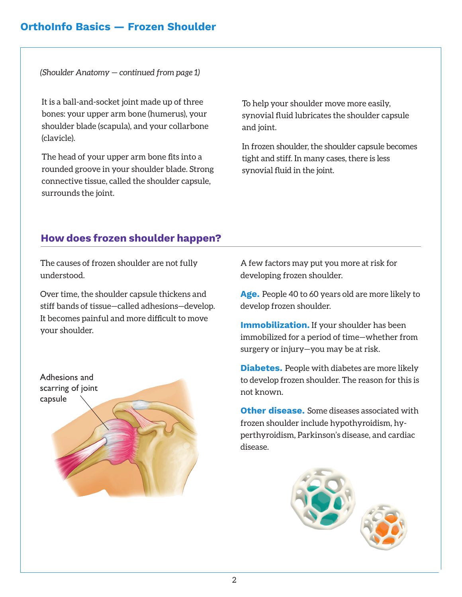#### **OrthoInfo Basics — Frozen Shoulder**

*(Shoulder Anatomy — continued from page 1)*

It is a ball-and-socket joint made up of three bones: your upper arm bone (humerus), your shoulder blade (scapula), and your collarbone (clavicle).

The head of your upper arm bone fits into a rounded groove in your shoulder blade. Strong connective tissue, called the shoulder capsule, surrounds the joint.

To help your shoulder move more easily, synovial fluid lubricates the shoulder capsule and joint.

In frozen shoulder, the shoulder capsule becomes tight and stiff. In many cases, there is less synovial fluid in the joint.

#### **How does frozen shoulder happen?**

The causes of frozen shoulder are not fully understood.

Over time, the shoulder capsule thickens and stiff bands of tissue—called adhesions—develop. It becomes painful and more difficult to move your shoulder.



A few factors may put you more at risk for developing frozen shoulder.

**Age.** People 40 to 60 years old are more likely to develop frozen shoulder.

**Immobilization.** If your shoulder has been immobilized for a period of time—whether from surgery or injury—you may be at risk.

**Diabetes.** People with diabetes are more likely to develop frozen shoulder. The reason for this is not known.

**Other disease.** Some diseases associated with frozen shoulder include hypothyroidism, hyperthyroidism, Parkinson's disease, and cardiac disease.

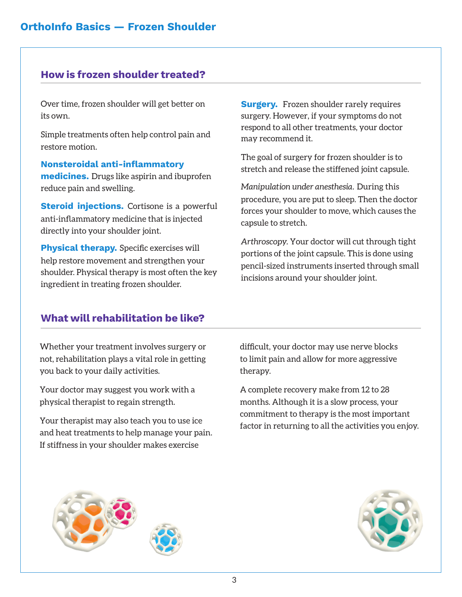#### **How is frozen shoulder treated?**

Over time, frozen shoulder will get better on its own.

Simple treatments often help control pain and restore motion.

**Nonsteroidal anti-inflammatory medicines.** Drugs like aspirin and ibuprofen reduce pain and swelling.

**Steroid injections.** Cortisone is a powerful anti-inflammatory medicine that is injected directly into your shoulder joint.

**Physical therapy.** Specific exercises will help restore movement and strengthen your shoulder. Physical therapy is most often the key ingredient in treating frozen shoulder.

**Surgery.** Frozen shoulder rarely requires surgery. However, if your symptoms do not respond to all other treatments, your doctor may recommend it.

The goal of surgery for frozen shoulder is to stretch and release the stiffened joint capsule.

*Manipulation under anesthesia.* During this procedure, you are put to sleep. Then the doctor forces your shoulder to move, which causes the capsule to stretch.

*Arthroscopy.* Your doctor will cut through tight portions of the joint capsule. This is done using pencil-sized instruments inserted through small incisions around your shoulder joint.

#### **What will rehabilitation be like?**

Whether your treatment involves surgery or not, rehabilitation plays a vital role in getting you back to your daily activities.

Your doctor may suggest you work with a physical therapist to regain strength.

Your therapist may also teach you to use ice and heat treatments to help manage your pain. If stiffness in your shoulder makes exercise

difficult, your doctor may use nerve blocks to limit pain and allow for more aggressive therapy.

A complete recovery make from 12 to 28 months. Although it is a slow process, your commitment to therapy is the most important factor in returning to all the activities you enjoy.